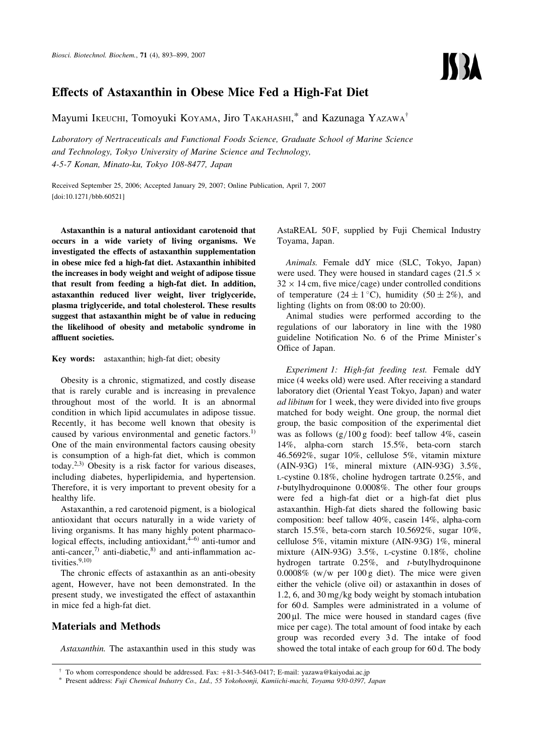# Effects of Astaxanthin in Obese Mice Fed a High-Fat Diet

Mayumi Ikeuchi, Tomoyuki KOYAMA, Jiro TAKAHASHI,\* and Kazunaga YAZAWA<sup>†</sup>

Laboratory of Nertraceuticals and Functional Foods Science, Graduate School of Marine Science and Technology, Tokyo University of Marine Science and Technology, 4-5-7 Konan, Minato-ku, Tokyo 108-8477, Japan

Received September 25, 2006; Accepted January 29, 2007; Online Publication, April 7, 2007 [\[doi:10.1271/bbb.60521\]](http://dx.doi.org/10.1271/bbb.60521)

Astaxanthin is a natural antioxidant carotenoid that occurs in a wide variety of living organisms. We investigated the effects of astaxanthin supplementation in obese mice fed a high-fat diet. Astaxanthin inhibited the increases in body weight and weight of adipose tissue that result from feeding a high-fat diet. In addition, astaxanthin reduced liver weight, liver triglyceride, plasma triglyceride, and total cholesterol. These results suggest that astaxanthin might be of value in reducing the likelihood of obesity and metabolic syndrome in affluent societies.

Key words: astaxanthin; high-fat diet; obesity

Obesity is a chronic, stigmatized, and costly disease that is rarely curable and is increasing in prevalence throughout most of the world. It is an abnormal condition in which lipid accumulates in adipose tissue. Recently, it has become well known that obesity is caused by various environmental and genetic factors.<sup>1)</sup> One of the main environmental factors causing obesity is consumption of a high-fat diet, which is common today.2,3) Obesity is a risk factor for various diseases, including diabetes, hyperlipidemia, and hypertension. Therefore, it is very important to prevent obesity for a healthy life.

Astaxanthin, a red carotenoid pigment, is a biological antioxidant that occurs naturally in a wide variety of living organisms. It has many highly potent pharmacological effects, including antioxidant, $4-6$  anti-tumor and anti-cancer, $\frac{7}{1}$  anti-diabetic, $\frac{8}{1}$  and anti-inflammation activities  $9,10$ 

The chronic effects of astaxanthin as an anti-obesity agent, However, have not been demonstrated. In the present study, we investigated the effect of astaxanthin in mice fed a high-fat diet.

## Materials and Methods

Astaxanthin. The astaxanthin used in this study was

AstaREAL 50F, supplied by Fuji Chemical Industry Toyama, Japan.

Animals. Female ddY mice (SLC, Tokyo, Japan) were used. They were housed in standard cages (21.5  $\times$  $32 \times 14$  cm, five mice/cage) under controlled conditions of temperature  $(24 \pm 1^{\circ}C)$ , humidity  $(50 \pm 2\%)$ , and lighting (lights on from 08:00 to 20:00).

Animal studies were performed according to the regulations of our laboratory in line with the 1980 guideline Notification No. 6 of the Prime Minister's Office of Japan.

Experiment 1: High-fat feeding test. Female ddY mice (4 weeks old) were used. After receiving a standard laboratory diet (Oriental Yeast Tokyo, Japan) and water ad libitum for 1 week, they were divided into five groups matched for body weight. One group, the normal diet group, the basic composition of the experimental diet was as follows  $(g/100 g$  food): beef tallow 4%, casein 14%, alpha-corn starch 15.5%, beta-corn starch 46.5692%, sugar 10%, cellulose 5%, vitamin mixture (AIN-93G) 1%, mineral mixture (AIN-93G) 3.5%, L-cystine 0.18%, choline hydrogen tartrate 0.25%, and t-butylhydroquinone 0.0008%. The other four groups were fed a high-fat diet or a high-fat diet plus astaxanthin. High-fat diets shared the following basic composition: beef tallow 40%, casein 14%, alpha-corn starch 15.5%, beta-corn starch 10.5692%, sugar 10%, cellulose 5%, vitamin mixture (AIN-93G) 1%, mineral mixture (AIN-93G) 3.5%, L-cystine 0.18%, choline hydrogen tartrate  $0.25\%$ , and *t*-butylhydroquinone  $0.0008\%$  (w/w per 100 g diet). The mice were given either the vehicle (olive oil) or astaxanthin in doses of 1.2, 6, and 30 mg/kg body weight by stomach intubation for 60 d. Samples were administrated in a volume of  $200 \mu$ . The mice were housed in standard cages (five mice per cage). The total amount of food intake by each group was recorded every 3 d. The intake of food showed the total intake of each group for 60 d. The body

 $\dagger$  To whom correspondence should be addressed. Fax:  $+81-3-5463-0417$ ; E-mail: yazawa@kaiyodai.ac.jp

<sup>\*</sup> Present address: Fuji Chemical Industry Co., Ltd., 55 Yokohoonji, Kamiichi-machi, Toyama 930-0397, Japan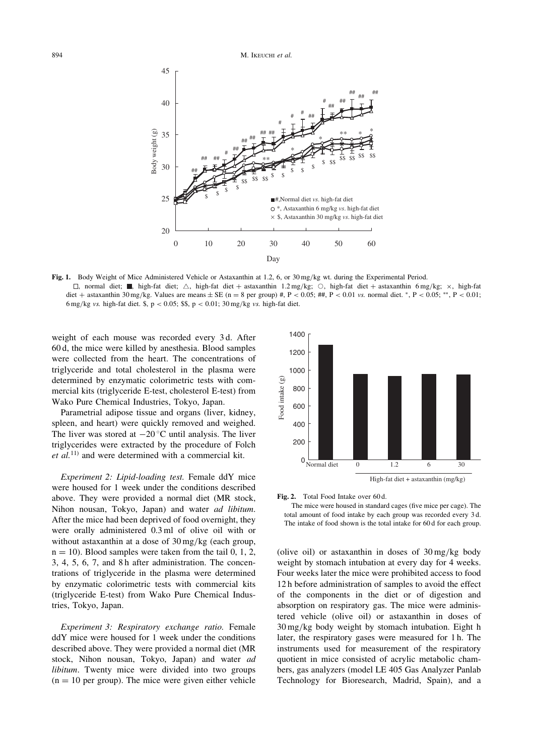

Fig. 1. Body Weight of Mice Administered Vehicle or Astaxanthin at 1.2, 6, or  $30 \text{ mg/kg}$  wt. during the Experimental Period.  $\Box$ , normal diet; , high-fat diet;  $\triangle$ , high-fat diet + astaxanthin 1.2 mg/kg;  $\bigcirc$ , high-fat diet + astaxanthin 6 mg/kg;  $\times$ , high-fat diet + astaxanthin 30 mg/kg. Values are means  $\pm$  SE (n = 8 per group) #, P < 0.05; ##, P < 0.01 vs. normal diet. \*, P < 0.05; \*\*, P < 0.01; 6 mg/kg vs. high-fat diet. \$, p < 0.05; \$\$, p < 0.01;  $30 \text{ mg/kg}$  vs. high-fat diet.

weight of each mouse was recorded every 3 d. After 60 d, the mice were killed by anesthesia. Blood samples were collected from the heart. The concentrations of triglyceride and total cholesterol in the plasma were determined by enzymatic colorimetric tests with commercial kits (triglyceride E-test, cholesterol E-test) from Wako Pure Chemical Industries, Tokyo, Japan.

Parametrial adipose tissue and organs (liver, kidney, spleen, and heart) were quickly removed and weighed. The liver was stored at  $-20^{\circ}$ C until analysis. The liver triglycerides were extracted by the procedure of Folch  $et al.<sup>11</sup>$  and were determined with a commercial kit.

Experiment 2: Lipid-loading test. Female ddY mice were housed for 1 week under the conditions described above. They were provided a normal diet (MR stock, Nihon nousan, Tokyo, Japan) and water ad libitum. After the mice had been deprived of food overnight, they were orally administered 0.3 ml of olive oil with or without astaxanthin at a dose of 30 mg/kg (each group,  $n = 10$ ). Blood samples were taken from the tail 0, 1, 2, 3, 4, 5, 6, 7, and 8 h after administration. The concentrations of triglyceride in the plasma were determined by enzymatic colorimetric tests with commercial kits (triglyceride E-test) from Wako Pure Chemical Industries, Tokyo, Japan.

Experiment 3: Respiratory exchange ratio. Female ddY mice were housed for 1 week under the conditions described above. They were provided a normal diet (MR stock, Nihon nousan, Tokyo, Japan) and water ad libitum. Twenty mice were divided into two groups  $(n = 10$  per group). The mice were given either vehicle





The mice were housed in standard cages (five mice per cage). The total amount of food intake by each group was recorded every 3 d. The intake of food shown is the total intake for 60 d for each group.

(olive oil) or astaxanthin in doses of 30 mg/kg body weight by stomach intubation at every day for 4 weeks. Four weeks later the mice were prohibited access to food 12 h before administration of samples to avoid the effect of the components in the diet or of digestion and absorption on respiratory gas. The mice were administered vehicle (olive oil) or astaxanthin in doses of 30 mg/kg body weight by stomach intubation. Eight h later, the respiratory gases were measured for 1 h. The instruments used for measurement of the respiratory quotient in mice consisted of acrylic metabolic chambers, gas analyzers (model LE 405 Gas Analyzer Panlab Technology for Bioresearch, Madrid, Spain), and a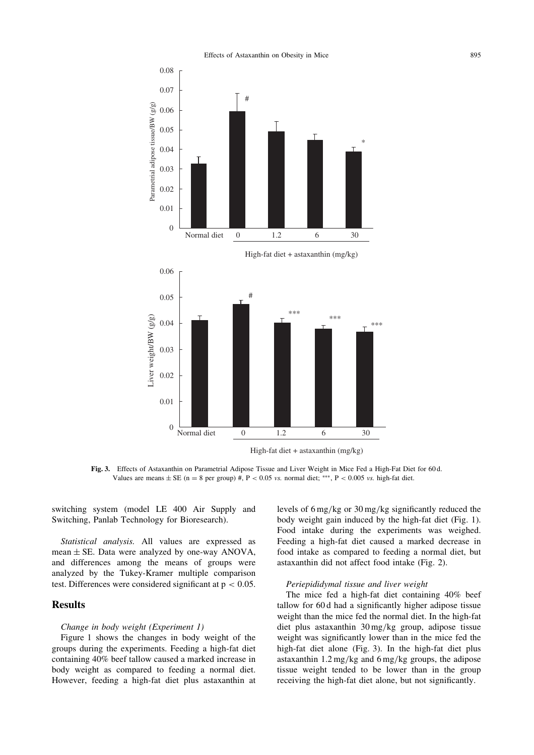Effects of Astaxanthin on Obesity in Mice 895



Fig. 3. Effects of Astaxanthin on Parametrial Adipose Tissue and Liver Weight in Mice Fed a High-Fat Diet for 60 d. Values are means  $\pm$  SE (n = 8 per group) #, P < 0.05 vs. normal diet; \*\*\*, P < 0.005 vs. high-fat diet.

switching system (model LE 400 Air Supply and Switching, Panlab Technology for Bioresearch).

Statistical analysis. All values are expressed as mean  $\pm$  SE. Data were analyzed by one-way ANOVA, and differences among the means of groups were analyzed by the Tukey-Kramer multiple comparison test. Differences were considered significant at  $p < 0.05$ .

### **Results**

#### Change in body weight (Experiment 1)

Figure 1 shows the changes in body weight of the groups during the experiments. Feeding a high-fat diet containing 40% beef tallow caused a marked increase in body weight as compared to feeding a normal diet. However, feeding a high-fat diet plus astaxanthin at levels of 6 mg/kg or 30 mg/kg significantly reduced the body weight gain induced by the high-fat diet (Fig. 1). Food intake during the experiments was weighed. Feeding a high-fat diet caused a marked decrease in food intake as compared to feeding a normal diet, but astaxanthin did not affect food intake (Fig. 2).

#### Periepididymal tissue and liver weight

The mice fed a high-fat diet containing 40% beef tallow for 60 d had a significantly higher adipose tissue weight than the mice fed the normal diet. In the high-fat diet plus astaxanthin 30 mg/kg group, adipose tissue weight was significantly lower than in the mice fed the high-fat diet alone (Fig. 3). In the high-fat diet plus astaxanthin 1.2 mg/kg and 6 mg/kg groups, the adipose tissue weight tended to be lower than in the group receiving the high-fat diet alone, but not significantly.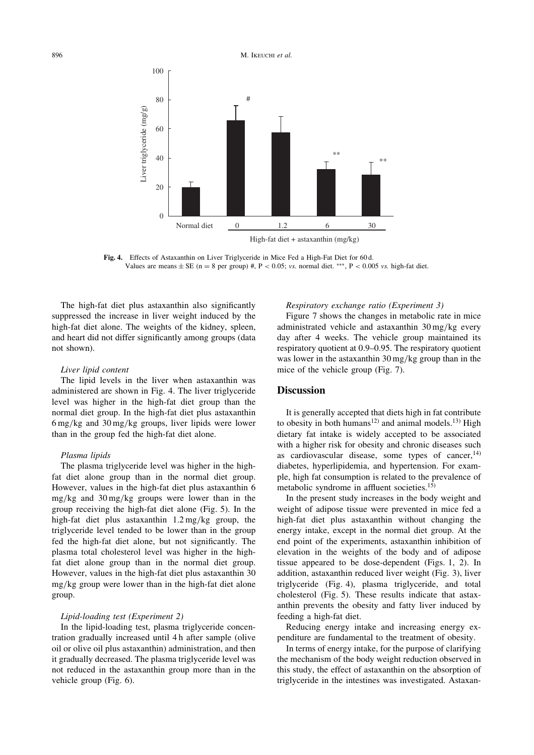

Fig. 4. Effects of Astaxanthin on Liver Triglyceride in Mice Fed a High-Fat Diet for 60 d. Values are means  $\pm$  SE (n = 8 per group) #, P < 0.05; vs. normal diet. \*\*\*, P < 0.005 vs. high-fat diet.

The high-fat diet plus astaxanthin also significantly suppressed the increase in liver weight induced by the high-fat diet alone. The weights of the kidney, spleen, and heart did not differ significantly among groups (data not shown).

#### Liver lipid content

The lipid levels in the liver when astaxanthin was administered are shown in Fig. 4. The liver triglyceride level was higher in the high-fat diet group than the normal diet group. In the high-fat diet plus astaxanthin 6 mg/kg and 30 mg/kg groups, liver lipids were lower than in the group fed the high-fat diet alone.

#### Plasma lipids

The plasma triglyceride level was higher in the highfat diet alone group than in the normal diet group. However, values in the high-fat diet plus astaxanthin 6 mg/kg and 30 mg/kg groups were lower than in the group receiving the high-fat diet alone (Fig. 5). In the high-fat diet plus astaxanthin 1.2 mg/kg group, the triglyceride level tended to be lower than in the group fed the high-fat diet alone, but not significantly. The plasma total cholesterol level was higher in the highfat diet alone group than in the normal diet group. However, values in the high-fat diet plus astaxanthin 30 mg/kg group were lower than in the high-fat diet alone group.

#### Lipid-loading test (Experiment 2)

In the lipid-loading test, plasma triglyceride concentration gradually increased until 4 h after sample (olive oil or olive oil plus astaxanthin) administration, and then it gradually decreased. The plasma triglyceride level was not reduced in the astaxanthin group more than in the vehicle group (Fig. 6).

#### Respiratory exchange ratio (Experiment 3)

Figure 7 shows the changes in metabolic rate in mice administrated vehicle and astaxanthin 30 mg/kg every day after 4 weeks. The vehicle group maintained its respiratory quotient at 0.9–0.95. The respiratory quotient was lower in the astaxanthin 30 mg/kg group than in the mice of the vehicle group (Fig. 7).

## **Discussion**

It is generally accepted that diets high in fat contribute to obesity in both humans<sup>12)</sup> and animal models.<sup>13)</sup> High dietary fat intake is widely accepted to be associated with a higher risk for obesity and chronic diseases such as cardiovascular disease, some types of cancer,  $14$ ) diabetes, hyperlipidemia, and hypertension. For example, high fat consumption is related to the prevalence of metabolic syndrome in affluent societies.15)

In the present study increases in the body weight and weight of adipose tissue were prevented in mice fed a high-fat diet plus astaxanthin without changing the energy intake, except in the normal diet group. At the end point of the experiments, astaxanthin inhibition of elevation in the weights of the body and of adipose tissue appeared to be dose-dependent (Figs. 1, 2). In addition, astaxanthin reduced liver weight (Fig. 3), liver triglyceride (Fig. 4), plasma triglyceride, and total cholesterol (Fig. 5). These results indicate that astaxanthin prevents the obesity and fatty liver induced by feeding a high-fat diet.

Reducing energy intake and increasing energy expenditure are fundamental to the treatment of obesity.

In terms of energy intake, for the purpose of clarifying the mechanism of the body weight reduction observed in this study, the effect of astaxanthin on the absorption of triglyceride in the intestines was investigated. Astaxan-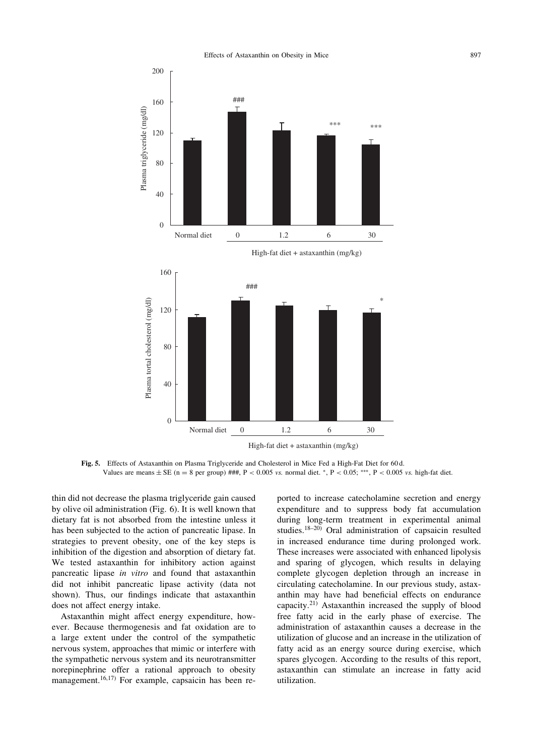Effects of Astaxanthin on Obesity in Mice 897



Fig. 5. Effects of Astaxanthin on Plasma Triglyceride and Cholesterol in Mice Fed a High-Fat Diet for 60 d. Values are means  $\pm$  SE (n = 8 per group) ###, P < 0.005 vs. normal diet. \*, P < 0.05; \*\*\*, P < 0.005 vs. high-fat diet.

thin did not decrease the plasma triglyceride gain caused by olive oil administration (Fig. 6). It is well known that dietary fat is not absorbed from the intestine unless it has been subjected to the action of pancreatic lipase. In strategies to prevent obesity, one of the key steps is inhibition of the digestion and absorption of dietary fat. We tested astaxanthin for inhibitory action against pancreatic lipase in vitro and found that astaxanthin did not inhibit pancreatic lipase activity (data not shown). Thus, our findings indicate that astaxanthin does not affect energy intake.

Astaxanthin might affect energy expenditure, however. Because thermogenesis and fat oxidation are to a large extent under the control of the sympathetic nervous system, approaches that mimic or interfere with the sympathetic nervous system and its neurotransmitter norepinephrine offer a rational approach to obesity management.<sup>16,17)</sup> For example, capsaicin has been reported to increase catecholamine secretion and energy expenditure and to suppress body fat accumulation during long-term treatment in experimental animal studies.18–20) Oral administration of capsaicin resulted in increased endurance time during prolonged work. These increases were associated with enhanced lipolysis and sparing of glycogen, which results in delaying complete glycogen depletion through an increase in circulating catecholamine. In our previous study, astaxanthin may have had beneficial effects on endurance capacity. $2^{1}$  Astaxanthin increased the supply of blood free fatty acid in the early phase of exercise. The administration of astaxanthin causes a decrease in the utilization of glucose and an increase in the utilization of fatty acid as an energy source during exercise, which spares glycogen. According to the results of this report, astaxanthin can stimulate an increase in fatty acid utilization.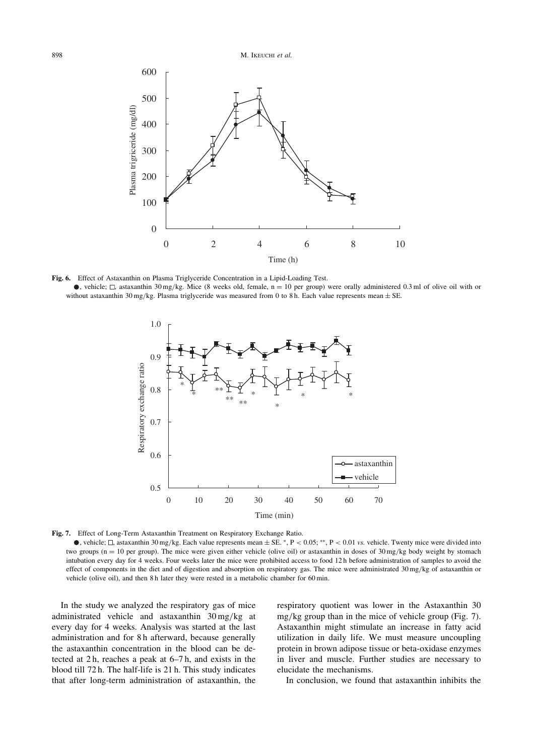

Fig. 6. Effect of Astaxanthin on Plasma Triglyceride Concentration in a Lipid-Loading Test. •, vehicle;  $\Box$ , astaxanthin 30 mg/kg. Mice (8 weeks old, female, n = 10 per group) were orally administered 0.3 ml of olive oil with or without astaxanthin 30 mg/kg. Plasma triglyceride was measured from 0 to 8 h. Each value represents mean  $\pm$  SE.



Fig. 7. Effect of Long-Term Astaxanthin Treatment on Respiratory Exchange Ratio.

, vehicle;  $\Box$ , astaxanthin 30 mg/kg. Each value represents mean  $\pm$  SE. \*, P < 0.05; \*\*, P < 0.01 vs. vehicle. Twenty mice were divided into two groups ( $n = 10$  per group). The mice were given either vehicle (olive oil) or astaxanthin in doses of  $30 \text{ mg/kg}$  body weight by stomach intubation every day for 4 weeks. Four weeks later the mice were prohibited access to food 12 h before administration of samples to avoid the effect of components in the diet and of digestion and absorption on respiratory gas. The mice were administrated 30 mg/kg of astaxanthin or vehicle (olive oil), and then 8 h later they were rested in a metabolic chamber for 60 min.

In the study we analyzed the respiratory gas of mice administrated vehicle and astaxanthin 30 mg/kg at every day for 4 weeks. Analysis was started at the last administration and for 8 h afterward, because generally the astaxanthin concentration in the blood can be detected at 2 h, reaches a peak at 6–7 h, and exists in the blood till 72 h. The half-life is 21 h. This study indicates that after long-term administration of astaxanthin, the respiratory quotient was lower in the Astaxanthin 30 mg/kg group than in the mice of vehicle group (Fig. 7). Astaxanthin might stimulate an increase in fatty acid utilization in daily life. We must measure uncoupling protein in brown adipose tissue or beta-oxidase enzymes in liver and muscle. Further studies are necessary to elucidate the mechanisms.

In conclusion, we found that astaxanthin inhibits the